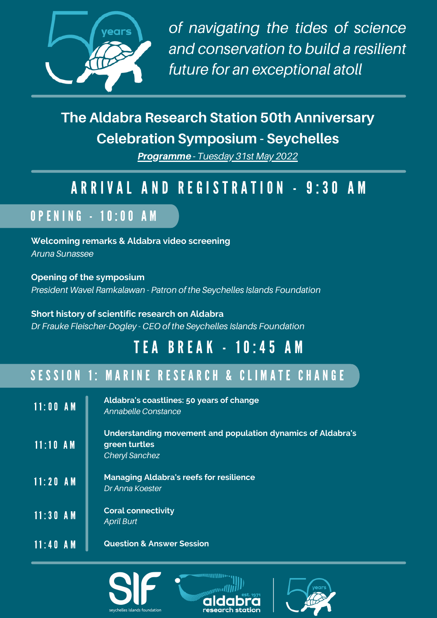

*of navigating the tides of science and conservation to build a resilient future for an exceptional atoll*

## **The Aldabra Research Station 50th Anniversary Celebration Symposium - Seychelles**

Programme - *Tuesday 31st May 2022*

## A R R I V A L A N D R E G I S T R A T I O N - 9:30 A M

## O P E N I N G - 1 0 : 0 0 A M

**Welcoming remarks & Aldabra video screening** *Aruna Sunassee*

**Opening of the symposium** *President Wavel Ramkalawan - Patron of the Seychelles Islands Foundation*

**Short history of scientific research on Aldabra** *Dr Frauke Fleischer-Dogley - CEO of the Seychelles Islands Foundation*

# T E A B R E A K - 1 0 : 4 5 A M

## SESSION 1: MARINE RESEARCH & CLIMATE CHANGE

| $11:00$ AM | Aldabra's coastlines: 50 years of change<br>Annabelle Constance                                |
|------------|------------------------------------------------------------------------------------------------|
| $11:10$ AM | Understanding movement and population dynamics of Aldabra's<br>green turtles<br>Cheryl Sanchez |
| $11:20$ AM | <b>Managing Aldabra's reefs for resilience</b><br>Dr Anna Koester                              |
| $11:30$ AM | <b>Coral connectivity</b><br><b>April Burt</b>                                                 |
| $11:40$ AM | <b>Question &amp; Answer Session</b>                                                           |